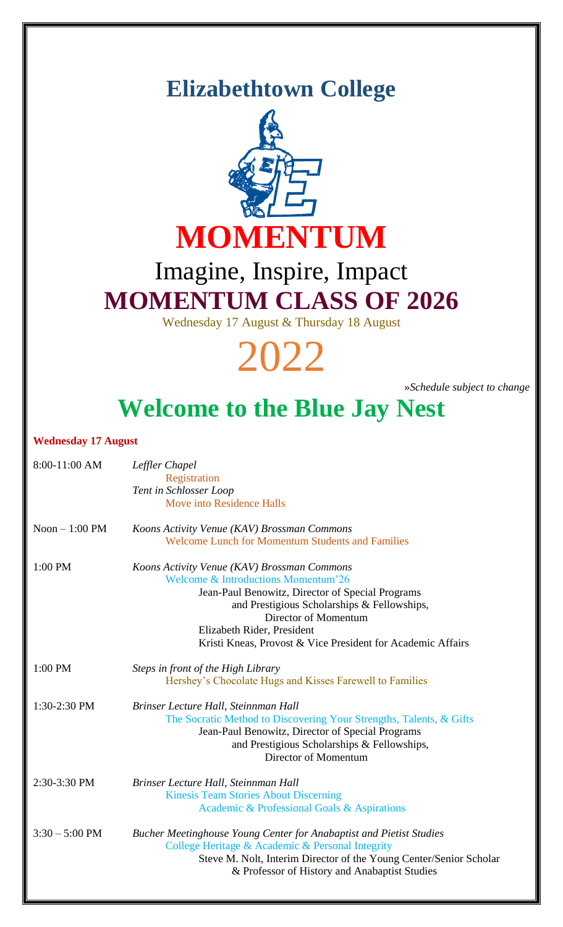### **Elizabethtown College**



## Imagine, Inspire, Impact **MOMENTUM CLASS OF 2026**

Wednesday 17 August & Thursday 18 August



»*Schedule subject to change*

# **Welcome to the Blue Jay Nest**

### **Wednesday 17 August**

| 8:00-11:00 AM      | Leffler Chapel<br>Registration<br>Tent in Schlosser Loop<br>Move into Residence Halls                                                                                                                                                                                                                                 |
|--------------------|-----------------------------------------------------------------------------------------------------------------------------------------------------------------------------------------------------------------------------------------------------------------------------------------------------------------------|
| $N$ oon $-1:00$ PM | Koons Activity Venue (KAV) Brossman Commons<br><b>Welcome Lunch for Momentum Students and Families</b>                                                                                                                                                                                                                |
| 1:00 PM            | Koons Activity Venue (KAV) Brossman Commons<br><b>Welcome &amp; Introductions Momentum'26</b><br>Jean-Paul Benowitz, Director of Special Programs<br>and Prestigious Scholarships & Fellowships,<br>Director of Momentum<br>Elizabeth Rider, President<br>Kristi Kneas, Provost & Vice President for Academic Affairs |
| 1:00 PM            | Steps in front of the High Library<br>Hershey's Chocolate Hugs and Kisses Farewell to Families                                                                                                                                                                                                                        |
| 1:30-2:30 PM       | Brinser Lecture Hall, Steinnman Hall<br>The Socratic Method to Discovering Your Strengths, Talents, & Gifts<br>Jean-Paul Benowitz, Director of Special Programs<br>and Prestigious Scholarships & Fellowships,<br>Director of Momentum                                                                                |
| 2:30-3:30 PM       | Brinser Lecture Hall, Steinnman Hall<br><b>Kinesis Team Stories About Discerning</b><br>Academic & Professional Goals & Aspirations                                                                                                                                                                                   |
| $3:30 - 5:00$ PM   | Bucher Meetinghouse Young Center for Anabaptist and Pietist Studies<br>College Heritage & Academic & Personal Integrity<br>Steve M. Nolt, Interim Director of the Young Center/Senior Scholar<br>& Professor of History and Anabaptist Studies                                                                        |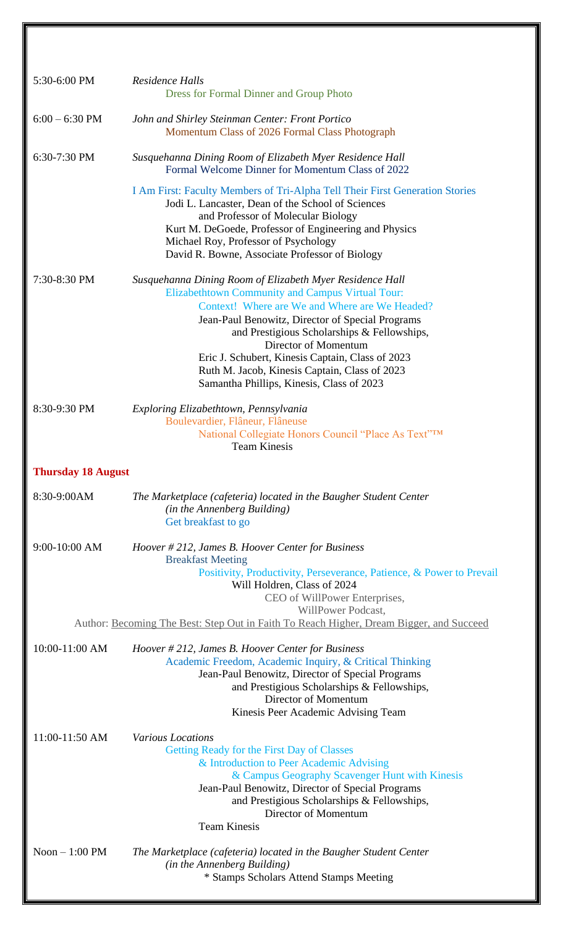| 5:30-6:00 PM                      | Residence Halls<br><b>Dress for Formal Dinner and Group Photo</b>                                                                                                                                                                                                                                                                                                                                                                           |  |
|-----------------------------------|---------------------------------------------------------------------------------------------------------------------------------------------------------------------------------------------------------------------------------------------------------------------------------------------------------------------------------------------------------------------------------------------------------------------------------------------|--|
| $6:00 - 6:30$ PM                  | John and Shirley Steinman Center: Front Portico<br>Momentum Class of 2026 Formal Class Photograph                                                                                                                                                                                                                                                                                                                                           |  |
| 6:30-7:30 PM                      | Susquehanna Dining Room of Elizabeth Myer Residence Hall<br>Formal Welcome Dinner for Momentum Class of 2022                                                                                                                                                                                                                                                                                                                                |  |
|                                   | I Am First: Faculty Members of Tri-Alpha Tell Their First Generation Stories<br>Jodi L. Lancaster, Dean of the School of Sciences<br>and Professor of Molecular Biology<br>Kurt M. DeGoede, Professor of Engineering and Physics<br>Michael Roy, Professor of Psychology<br>David R. Bowne, Associate Professor of Biology                                                                                                                  |  |
| 7:30-8:30 PM                      | Susquehanna Dining Room of Elizabeth Myer Residence Hall<br>Elizabethtown Community and Campus Virtual Tour:<br>Context! Where are We and Where are We Headed?<br>Jean-Paul Benowitz, Director of Special Programs<br>and Prestigious Scholarships & Fellowships,<br>Director of Momentum<br>Eric J. Schubert, Kinesis Captain, Class of 2023<br>Ruth M. Jacob, Kinesis Captain, Class of 2023<br>Samantha Phillips, Kinesis, Class of 2023 |  |
| 8:30-9:30 PM                      | Exploring Elizabethtown, Pennsylvania<br>Boulevardier, Flâneur, Flâneuse<br>National Collegiate Honors Council "Place As Text"TM<br><b>Team Kinesis</b>                                                                                                                                                                                                                                                                                     |  |
| <b>Thursday 18 August</b>         |                                                                                                                                                                                                                                                                                                                                                                                                                                             |  |
| 8:30-9:00AM                       | The Marketplace (cafeteria) located in the Baugher Student Center<br>(in the Annenberg Building)<br>Get breakfast to go                                                                                                                                                                                                                                                                                                                     |  |
| 9:00-10:00 AM                     | Hoover # 212, James B. Hoover Center for Business<br><b>Breakfast Meeting</b><br>Positivity, Productivity, Perseverance, Patience, & Power to Prevail<br>Will Holdren, Class of 2024<br>CEO of WillPower Enterprises,                                                                                                                                                                                                                       |  |
|                                   | WillPower Podcast,<br>Author: Becoming The Best: Step Out in Faith To Reach Higher, Dream Bigger, and Succeed                                                                                                                                                                                                                                                                                                                               |  |
| 10:00-11:00 AM                    | Hoover # 212, James B. Hoover Center for Business<br>Academic Freedom, Academic Inquiry, & Critical Thinking<br>Jean-Paul Benowitz, Director of Special Programs<br>and Prestigious Scholarships & Fellowships,<br>Director of Momentum<br>Kinesis Peer Academic Advising Team                                                                                                                                                              |  |
| 11:00-11:50 AM<br>Noon $-1:00$ PM | <b>Various Locations</b><br>Getting Ready for the First Day of Classes<br>& Introduction to Peer Academic Advising<br>& Campus Geography Scavenger Hunt with Kinesis<br>Jean-Paul Benowitz, Director of Special Programs<br>and Prestigious Scholarships & Fellowships,<br>Director of Momentum<br><b>Team Kinesis</b><br>The Marketplace (cafeteria) located in the Baugher Student Center                                                 |  |
|                                   | (in the Annenberg Building)<br>* Stamps Scholars Attend Stamps Meeting                                                                                                                                                                                                                                                                                                                                                                      |  |